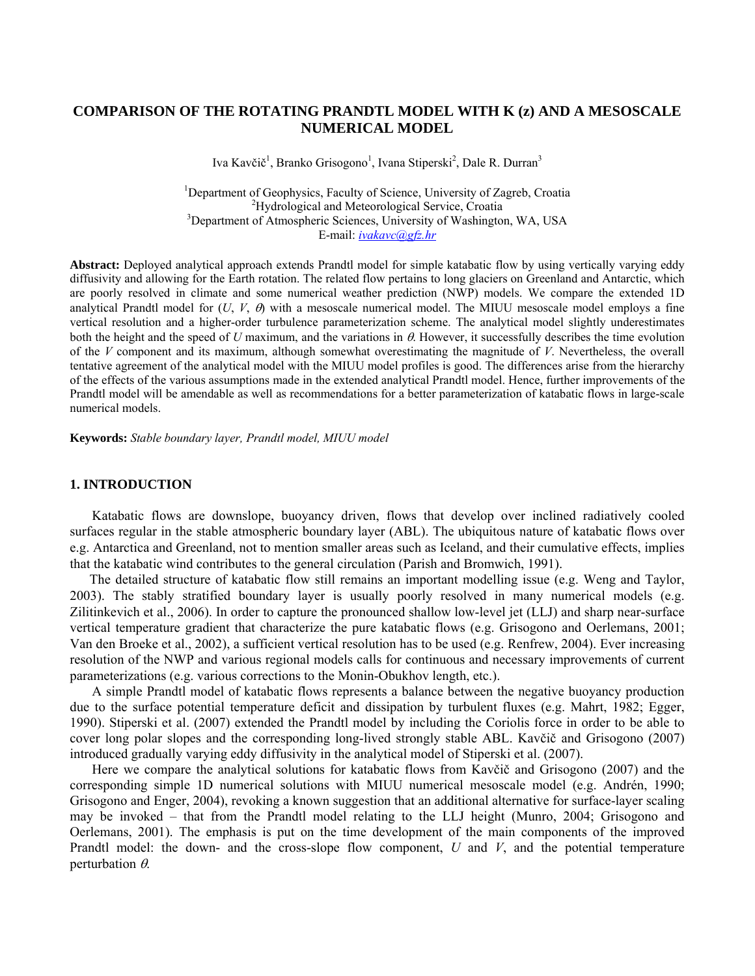# **COMPARISON OF THE ROTATING PRANDTL MODEL WITH K (z) AND A MESOSCALE NUMERICAL MODEL**

Iva Kavčič<sup>1</sup>, Branko Grisogono<sup>1</sup>, Ivana Stiperski<sup>2</sup>, Dale R. Durran<sup>3</sup>

<sup>1</sup>Department of Geophysics, Faculty of Science, University of Zagreb, Croatia <sup>2</sup>Hydrological and Mateoralogical Service, Croatia <sup>2</sup>Hydrological and Meteorological Service, Croatia <sup>3</sup>Department of Atmospheric Sciences, University of Washington, WA, USA E-mail: *[ivakavc@gfz.hr](mailto:ivakavc@gfz.hr)*

**Abstract:** Deployed analytical approach extends Prandtl model for simple katabatic flow by using vertically varying eddy diffusivity and allowing for the Earth rotation. The related flow pertains to long glaciers on Greenland and Antarctic, which are poorly resolved in climate and some numerical weather prediction (NWP) models. We compare the extended 1D analytical Prandtl model for  $(U, V, \theta)$  with a mesoscale numerical model. The MIUU mesoscale model employs a fine vertical resolution and a higher-order turbulence parameterization scheme. The analytical model slightly underestimates both the height and the speed of *U* maximum, and the variations in  $\theta$ . However, it successfully describes the time evolution of the *V* component and its maximum, although somewhat overestimating the magnitude of *V*. Nevertheless, the overall tentative agreement of the analytical model with the MIUU model profiles is good. The differences arise from the hierarchy of the effects of the various assumptions made in the extended analytical Prandtl model. Hence, further improvements of the Prandtl model will be amendable as well as recommendations for a better parameterization of katabatic flows in large-scale numerical models.

**Keywords:** *Stable boundary layer, Prandtl model, MIUU model* 

#### **1. INTRODUCTION**

Katabatic flows are downslope, buoyancy driven, flows that develop over inclined radiatively cooled surfaces regular in the stable atmospheric boundary layer (ABL). The ubiquitous nature of katabatic flows over e.g. Antarctica and Greenland, not to mention smaller areas such as Iceland, and their cumulative effects, implies that the katabatic wind contributes to the general circulation (Parish and Bromwich, 1991).

The detailed structure of katabatic flow still remains an important modelling issue (e.g. Weng and Taylor, 2003). The stably stratified boundary layer is usually poorly resolved in many numerical models (e.g. Zilitinkevich et al., 2006). In order to capture the pronounced shallow low-level jet (LLJ) and sharp near-surface vertical temperature gradient that characterize the pure katabatic flows (e.g. Grisogono and Oerlemans, 2001; Van den Broeke et al., 2002), a sufficient vertical resolution has to be used (e.g. Renfrew, 2004). Ever increasing resolution of the NWP and various regional models calls for continuous and necessary improvements of current parameterizations (e.g. various corrections to the Monin-Obukhov length, etc.).

A simple Prandtl model of katabatic flows represents a balance between the negative buoyancy production due to the surface potential temperature deficit and dissipation by turbulent fluxes (e.g. Mahrt, 1982; Egger, 1990). Stiperski et al. (2007) extended the Prandtl model by including the Coriolis force in order to be able to cover long polar slopes and the corresponding long-lived strongly stable ABL. Kavčič and Grisogono (2007) introduced gradually varying eddy diffusivity in the analytical model of Stiperski et al. (2007).

Here we compare the analytical solutions for katabatic flows from Kavčič and Grisogono (2007) and the corresponding simple 1D numerical solutions with MIUU numerical mesoscale model (e.g. Andrén, 1990; Grisogono and Enger, 2004), revoking a known suggestion that an additional alternative for surface-layer scaling may be invoked – that from the Prandtl model relating to the LLJ height (Munro, 2004; Grisogono and Oerlemans, 2001). The emphasis is put on the time development of the main components of the improved Prandtl model: the down- and the cross-slope flow component, *U* and *V*, and the potential temperature perturbation  $\theta$ .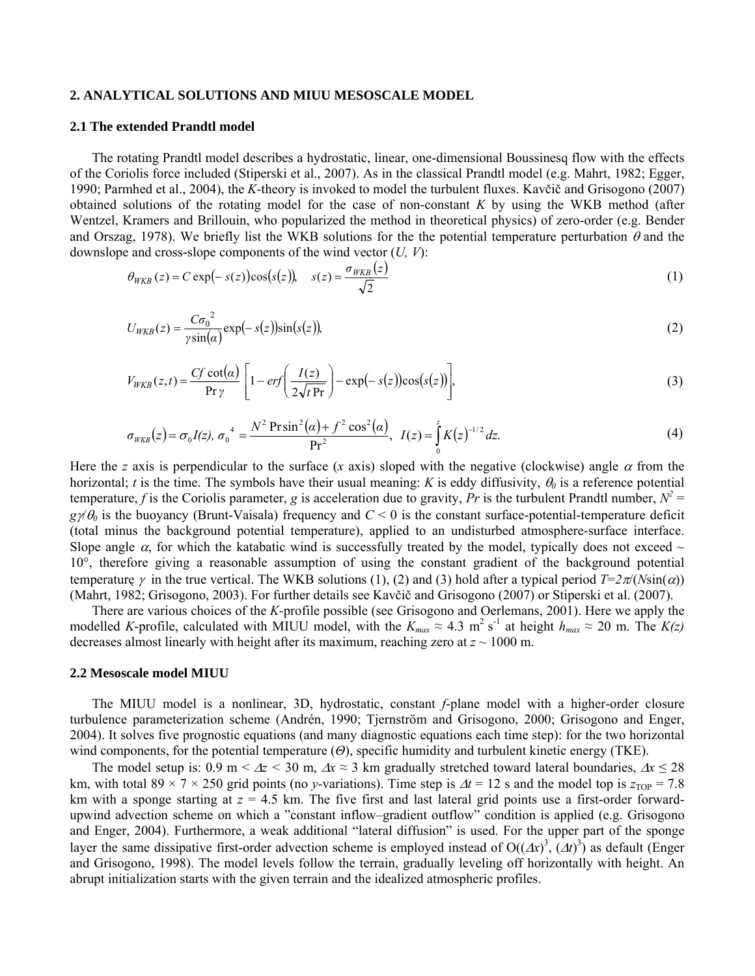## **2. ANALYTICAL SOLUTIONS AND MIUU MESOSCALE MODEL**

#### **2.1 The extended Prandtl model**

The rotating Prandtl model describes a hydrostatic, linear, one-dimensional Boussinesq flow with the effects of the Coriolis force included (Stiperski et al., 2007). As in the classical Prandtl model (e.g. Mahrt, 1982; Egger, 1990; Parmhed et al., 2004), the *K*-theory is invoked to model the turbulent fluxes. Kavčič and Grisogono (2007) obtained solutions of the rotating model for the case of non-constant *K* by using the WKB method (after Wentzel, Kramers and Brillouin, who popularized the method in theoretical physics) of zero-order (e.g. Bender and Orszag, 1978). We briefly list the WKB solutions for the the potential temperature perturbation  $\theta$  and the downslope and cross-slope components of the wind vector (*U, V*):

$$
\theta_{WKB}(z) = C \exp(-s(z)) \cos(s(z)), \quad s(z) = \frac{\sigma_{WKB}(z)}{\sqrt{2}}
$$
 (1)

$$
U_{WKB}(z) = \frac{C\sigma_0^2}{\gamma \sin(\alpha)} \exp(-s(z)) \sin(s(z)),\tag{2}
$$

$$
V_{WKB}(z,t) = \frac{Cf \cot(\alpha)}{\Pr \gamma} \left[ 1 - erf \left( \frac{I(z)}{2\sqrt{t \Pr}} \right) - \exp(-s(z)) \cos(s(z)) \right],\tag{3}
$$

$$
\sigma_{WKB}(z) = \sigma_0 I(z), \ \sigma_0^4 = \frac{N^2 \operatorname{Pr} \sin^2(\alpha) + f^2 \cos^2(\alpha)}{\operatorname{Pr}^2}, \ \ I(z) = \int_0^z K(z)^{-1/2} dz. \tag{4}
$$

Here the *z* axis is perpendicular to the surface (*x* axis) sloped with the negative (clockwise) angle  $\alpha$  from the horizontal; *t* is the time. The symbols have their usual meaning: *K* is eddy diffusivity,  $\theta_0$  is a reference potential temperature, *f* is the Coriolis parameter, *g* is acceleration due to gravity, *Pr* is the turbulent Prandtl number,  $N^2 =$  $g\psi\theta_0$  is the buoyancy (Brunt-Vaisala) frequency and  $C < 0$  is the constant surface-potential-temperature deficit (total minus the background potential temperature), applied to an undisturbed atmosphere-surface interface. Slope angle  $\alpha$ , for which the katabatic wind is successfully treated by the model, typically does not exceed  $\sim$ 10°, therefore giving a reasonable assumption of using the constant gradient of the background potential temperature  $\gamma$  in the true vertical. The WKB solutions (1), (2) and (3) hold after a typical period  $T=2\pi/(N\sin(\alpha))$ (Mahrt, 1982; Grisogono, 2003). For further details see Kavčič and Grisogono (2007) or Stiperski et al. (2007).

There are various choices of the *K*-profile possible (see Grisogono and Oerlemans, 2001). Here we apply the modelled *K*-profile, calculated with MIUU model, with the  $K_{max} \approx 4.3 \text{ m}^2 \text{ s}^{-1}$  at height  $h_{max} \approx 20 \text{ m}$ . The  $K(z)$ decreases almost linearly with height after its maximum, reaching zero at  $z \sim 1000$  m.

#### **2.2 Mesoscale model MIUU**

The MIUU model is a nonlinear, 3D, hydrostatic, constant *f*-plane model with a higher-order closure turbulence parameterization scheme (Andrén, 1990; Tjernström and Grisogono, 2000; Grisogono and Enger, 2004). It solves five prognostic equations (and many diagnostic equations each time step): for the two horizontal wind components, for the potential temperature (*Θ*), specific humidity and turbulent kinetic energy (TKE).

The model setup is:  $0.9 \text{ m} < \Delta z < 30 \text{ m}$ ,  $\Delta x \approx 3 \text{ km}$  gradually stretched toward lateral boundaries,  $\Delta x \le 28$ km, with total 89 × 7 × 250 grid points (no *y*-variations). Time step is  $\Delta t = 12$  s and the model top is  $z_{\text{TOP}} = 7.8$ km with a sponge starting at *z* = 4.5 km. The five first and last lateral grid points use a first-order forwardupwind advection scheme on which a "constant inflow–gradient outflow" condition is applied (e.g. Grisogono and Enger, 2004). Furthermore, a weak additional "lateral diffusion" is used. For the upper part of the sponge layer the same dissipative first-order advection scheme is employed instead of  $O((\Delta x)^3, (\Delta t)^3)$  as default (Enger and Grisogono, 1998). The model levels follow the terrain, gradually leveling off horizontally with height. An abrupt initialization starts with the given terrain and the idealized atmospheric profiles.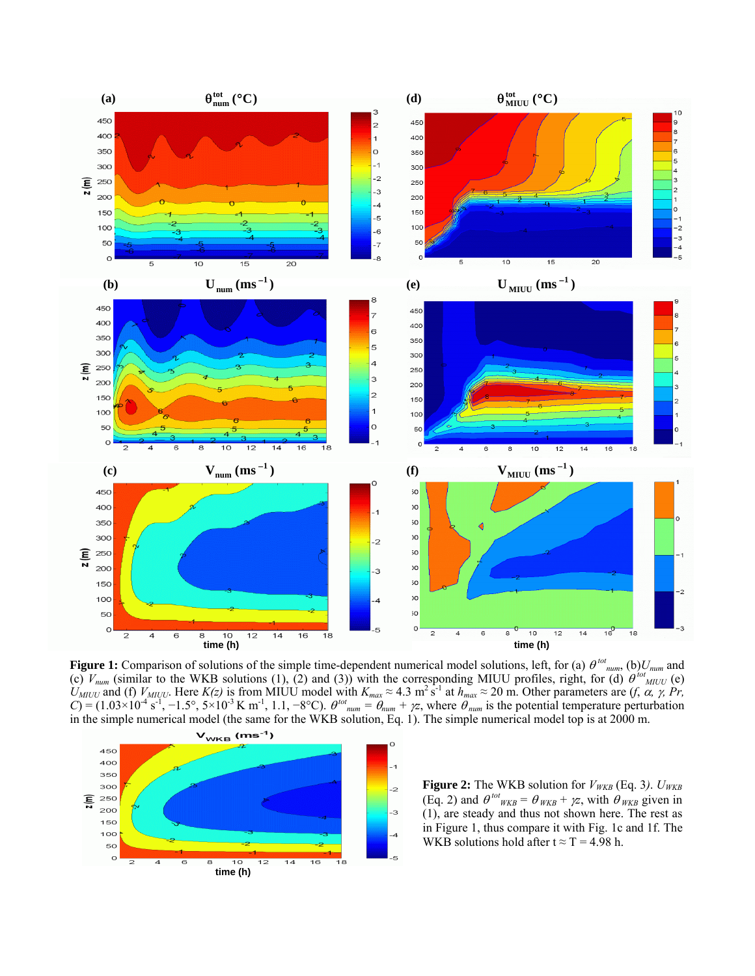

**Figure 1:** Comparison of solutions of the simple time-dependent numerical model solutions, left, for (a) θ<sup>tot</sup><sub>num</sub>, (b)*U<sub>num</sub>* and (c)  $V_{num}$  (similar to the WKB solutions (1), (2) and (3)) with the corresponding MIUU profiles, right, for (d)  $\theta^{tot}$ <sub>MIUU</sub> (e)  $U_{MIUU}$  and (f)  $V_{MIUU}$ . Here  $K(z)$  is from MIUU model with  $K_{max} \approx 4.3 \text{ m}^2 \text{ s}^{-1}$  at  $h_{max} \approx 20 \text{ m}$ . Other parameters are  $(f, \alpha, \gamma, Pr, \alpha, \beta)$  $C = (1.03 \times 10^{-4} \text{ s}^{-1}, -1.5^{\circ}, 5 \times 10^{-3} \text{ K m}^{-1}, 1.1, -8^{\circ}\text{C})$ .  $\theta^{tot}$ <sub>num</sub> =  $\theta_{num} + \gamma z$ , where  $\theta_{num}$  is the potential temperature perturbation in the simple numerical model (the same for the WKB solution, Eq. 1). The simple numerical model top is at 2000 m.

 $\overline{z}$ 



**Figure 2:** The WKB solution for  $V_{WKB}$  (Eq. 3).  $U_{WKB}$ (Eq. 2) and  $\theta^{tot}_{WKB} = \theta_{WKB} + \gamma z$ , with  $\theta_{WKB}$  given in (1), are steady and thus not shown here. The rest as in Figure 1, thus compare it with Fig. 1c and 1f. The WKB solutions hold after  $t \approx T = 4.98$  h.